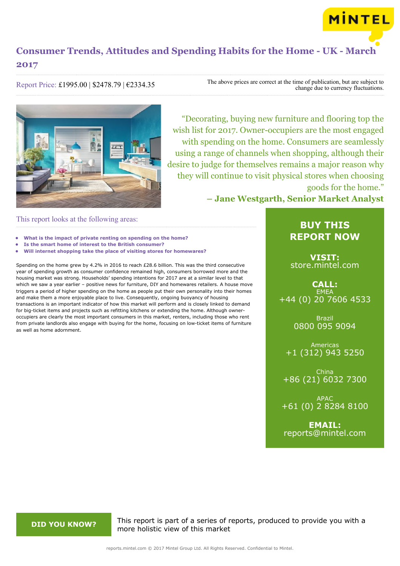

Report Price: £1995.00 | \$2478.79 | €2334.35

The above prices are correct at the time of publication, but are subject to change due to currency fluctuations.



"Decorating, buying new furniture and flooring top the wish list for 2017. Owner-occupiers are the most engaged with spending on the home. Consumers are seamlessly using a range of channels when shopping, although their desire to judge for themselves remains a major reason why they will continue to visit physical stores when choosing goods for the home."

**– Jane Westgarth, Senior Market Analyst**

### This report looks at the following areas:

- **• What is the impact of private renting on spending on the home?**
- **• Is the smart home of interest to the British consumer?**
- **• Will internet shopping take the place of visiting stores for homewares?**

Spending on the home grew by 4.2% in 2016 to reach £28.6 billion. This was the third consecutive year of spending growth as consumer confidence remained high, consumers borrowed more and the housing market was strong. Households' spending intentions for 2017 are at a similar level to that which we saw a year earlier – positive news for furniture, DIY and homewares retailers. A house move triggers a period of higher spending on the home as people put their own personality into their homes and make them a more enjoyable place to live. Consequently, ongoing buoyancy of housing transactions is an important indicator of how this market will perform and is closely linked to demand for big-ticket items and projects such as refitting kitchens or extending the home. Although owneroccupiers are clearly the most important consumers in this market, renters, including those who rent from private landlords also engage with buying for the home, focusing on low-ticket items of furniture as well as home adornment.

## **BUY THIS REPORT NOW**

**VISIT:** [store.mintel.com](http://reports.mintel.com//display/store/792415/)

**CALL: EMEA** +44 (0) 20 7606 4533

> Brazil 0800 095 9094

Americas +1 (312) 943 5250

China +86 (21) 6032 7300

APAC +61 (0) 2 8284 8100

**EMAIL:** [reports@mintel.com](mailto:reports@mintel.com)

**DID YOU KNOW?** This report is part of a series of reports, produced to provide you with a more holistic view of this market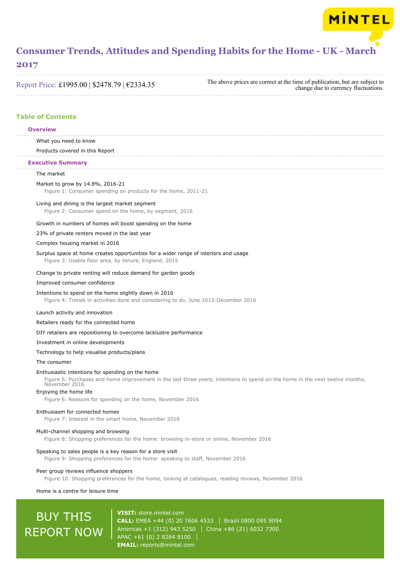### **2017**

Report Price: £1995.00 | \$2478.79 | €2334.35

The above prices are correct at the time of publication, but are subject to change due to currency fluctuations.

MINTEL

### **Table of Contents**

#### **Overview**

What you need to know

Products covered in this Report

#### **Executive Summary**

#### The market

#### Market to grow by 14.8%, 2016-21

Figure 1: Consumer spending on products for the home, 2011-21

#### Living and dining is the largest market segment

Figure 2: Consumer spend on the home, by segment, 2016

#### Growth in numbers of homes will boost spending on the home

#### 23% of private renters moved in the last year

#### Complex housing market in 2016

## Surplus space at home creates opportunities for a wider range of interiors and usage

Figure 3: Usable floor area, by tenure, England, 2015

#### Change to private renting will reduce demand for garden goods

#### Improved consumer confidence

#### Intentions to spend on the home slightly down in 2016

Figure 4: Trends in activities done and considering to do, June 2012-December 2016

#### Launch activity and innovation

#### Retailers ready for the connected home

DIY retailers are repositioning to overcome lacklustre performance

#### Investment in online developments

#### Technology to help visualise products/plans

The consumer

#### Enthusiastic intentions for spending on the home

Figure 5: Purchases and home improvement in the last three years; intentions to spend on the home in the next twelve months, November 2016

#### Enjoying the home life

Figure 6: Reasons for spending on the home, November 2016

#### Enthusiasm for connected homes

Figure 7: Interest in the smart home, November 2016

#### Multi-channel shopping and browsing

Figure 8: Shopping preferences for the home: browsing in-store or online, November 2016

#### Speaking to sales people is a key reason for a store visit

Figure 9: Shopping preferences for the home: speaking to staff, November 2016

#### Peer group reviews influence shoppers

Figure 10: Shopping preferences for the home, looking at catalogues, reading reviews, November 2016

#### Home is a centre for leisure time

# **BUY THIS** REPORT NOW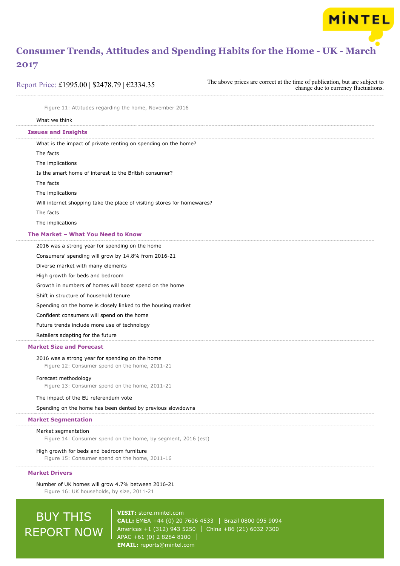MINTEL

## **2017**

| Report Price: £1995.00   \$2478.79   €2334.35                                                     | The above prices are correct at the time of publication, but are subject to<br>change due to currency fluctuations. |
|---------------------------------------------------------------------------------------------------|---------------------------------------------------------------------------------------------------------------------|
| Figure 11: Attitudes regarding the home, November 2016                                            |                                                                                                                     |
| What we think                                                                                     |                                                                                                                     |
| <b>Issues and Insights</b>                                                                        |                                                                                                                     |
| What is the impact of private renting on spending on the home?                                    |                                                                                                                     |
| The facts                                                                                         |                                                                                                                     |
| The implications                                                                                  |                                                                                                                     |
| Is the smart home of interest to the British consumer?                                            |                                                                                                                     |
| The facts                                                                                         |                                                                                                                     |
| The implications                                                                                  |                                                                                                                     |
| Will internet shopping take the place of visiting stores for homewares?                           |                                                                                                                     |
| The facts                                                                                         |                                                                                                                     |
| The implications                                                                                  |                                                                                                                     |
| The Market - What You Need to Know                                                                |                                                                                                                     |
| 2016 was a strong year for spending on the home                                                   |                                                                                                                     |
| Consumers' spending will grow by 14.8% from 2016-21                                               |                                                                                                                     |
| Diverse market with many elements                                                                 |                                                                                                                     |
| High growth for beds and bedroom                                                                  |                                                                                                                     |
| Growth in numbers of homes will boost spend on the home                                           |                                                                                                                     |
| Shift in structure of household tenure                                                            |                                                                                                                     |
| Spending on the home is closely linked to the housing market                                      |                                                                                                                     |
| Confident consumers will spend on the home                                                        |                                                                                                                     |
| Future trends include more use of technology                                                      |                                                                                                                     |
| Retailers adapting for the future                                                                 |                                                                                                                     |
| <b>Market Size and Forecast</b>                                                                   |                                                                                                                     |
| 2016 was a strong year for spending on the home<br>Figure 12: Consumer spend on the home, 2011-21 |                                                                                                                     |
| Forecast methodology<br>Figure 13: Consumer spend on the home, 2011-21                            |                                                                                                                     |
| The impact of the EU referendum vote                                                              |                                                                                                                     |
| Spending on the home has been dented by previous slowdowns                                        |                                                                                                                     |
| <b>Market Segmentation</b>                                                                        |                                                                                                                     |
| Market segmentation<br>Figure 14: Consumer spend on the home, by segment, 2016 (est)              |                                                                                                                     |
| High growth for beds and bedroom furniture<br>Figure 15: Consumer spend on the home, 2011-16      |                                                                                                                     |
| <b>Market Drivers</b>                                                                             |                                                                                                                     |
| Number of UK homes will grow 4.7% between 2016-21                                                 |                                                                                                                     |
| Figure 16: UK households, by size, 2011-21                                                        |                                                                                                                     |

# BUY THIS REPORT NOW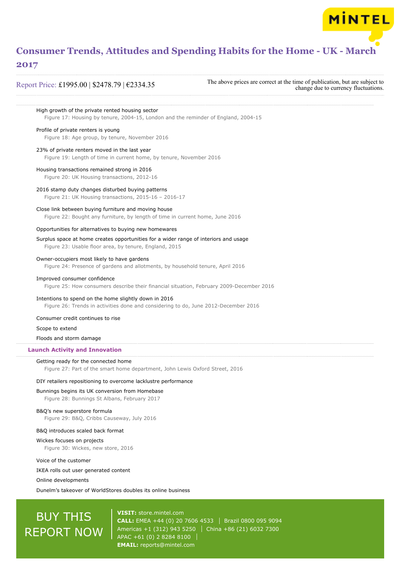### **2017**

Report Price: £1995.00 | \$2478.79 | €2334.35

The above prices are correct at the time of publication, but are subject to change due to currency fluctuations.

**MINTEL** 

High growth of the private rented housing sector Figure 17: Housing by tenure, 2004-15, London and the reminder of England, 2004-15 Profile of private renters is young Figure 18: Age group, by tenure, November 2016 23% of private renters moved in the last year Figure 19: Length of time in current home, by tenure, November 2016 Housing transactions remained strong in 2016 Figure 20: UK Housing transactions, 2012-16 2016 stamp duty changes disturbed buying patterns Figure 21: UK Housing transactions, 2015-16 – 2016-17 Close link between buying furniture and moving house Figure 22: Bought any furniture, by length of time in current home, June 2016 Opportunities for alternatives to buying new homewares Surplus space at home creates opportunities for a wider range of interiors and usage Figure 23: Usable floor area, by tenure, England, 2015 Owner-occupiers most likely to have gardens Figure 24: Presence of gardens and allotments, by household tenure, April 2016 Improved consumer confidence Figure 25: How consumers describe their financial situation, February 2009-December 2016 Intentions to spend on the home slightly down in 2016 Figure 26: Trends in activities done and considering to do, June 2012-December 2016 Consumer credit continues to rise Scope to extend Floods and storm damage Getting ready for the connected home Figure 27: Part of the smart home department, John Lewis Oxford Street, 2016 DIY retailers repositioning to overcome lacklustre performance Bunnings begins its UK conversion from Homebase Figure 28: Bunnings St Albans, February 2017 B&Q's new superstore formula Figure 29: B&Q, Cribbs Causeway, July 2016 B&Q introduces scaled back format Wickes focuses on projects Figure 30: Wickes, new store, 2016 Voice of the customer IKEA rolls out user generated content Online developments Dunelm's takeover of WorldStores doubles its online business **Launch Activity and Innovation**

# BUY THIS REPORT NOW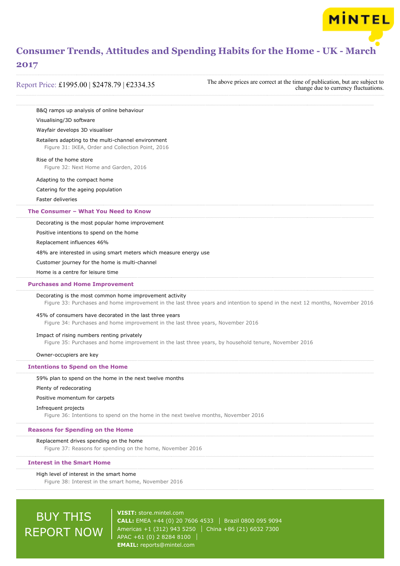### **2017**

Report Price: £1995.00 | \$2478.79 | €2334.35

The above prices are correct at the time of publication, but are subject to change due to currency fluctuations.

**MINTEL** 

B&Q ramps up analysis of online behaviour

#### Visualising/3D software

#### Wayfair develops 3D visualiser

Retailers adapting to the multi-channel environment

Figure 31: IKEA, Order and Collection Point, 2016

#### Rise of the home store

Figure 32: Next Home and Garden, 2016

#### Adapting to the compact home

Catering for the ageing population

Faster deliveries

#### **The Consumer – What You Need to Know**

Decorating is the most popular home improvement

Positive intentions to spend on the home

Replacement influences 46%

48% are interested in using smart meters which measure energy use

Customer journey for the home is multi-channel

Home is a centre for leisure time

#### **Purchases and Home Improvement**

#### Decorating is the most common home improvement activity

Figure 33: Purchases and home improvement in the last three years and intention to spend in the next 12 months, November 2016

#### 45% of consumers have decorated in the last three years

Figure 34: Purchases and home improvement in the last three years, November 2016

#### Impact of rising numbers renting privately

Figure 35: Purchases and home improvement in the last three years, by household tenure, November 2016

Owner-occupiers are key

#### **Intentions to Spend on the Home**

#### 59% plan to spend on the home in the next twelve months

#### Plenty of redecorating

Positive momentum for carpets

#### Infrequent projects

Figure 36: Intentions to spend on the home in the next twelve months, November 2016

#### **Reasons for Spending on the Home**

#### Replacement drives spending on the home

Figure 37: Reasons for spending on the home, November 2016

#### **Interest in the Smart Home**

#### High level of interest in the smart home

Figure 38: Interest in the smart home, November 2016

# BUY THIS REPORT NOW